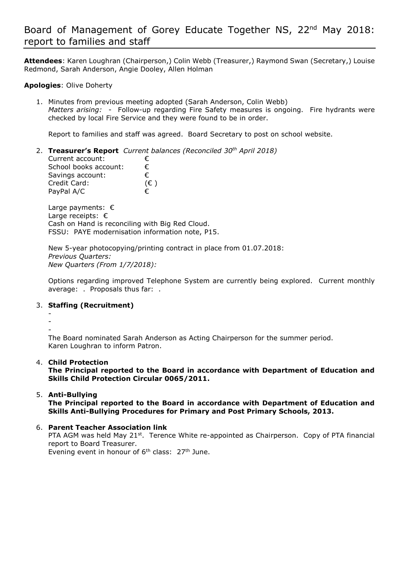# Board of Management of Gorey Educate Together NS, 22nd May 2018: report to families and staff

**Attendees**: Karen Loughran (Chairperson,) Colin Webb (Treasurer,) Raymond Swan (Secretary,) Louise Redmond, Sarah Anderson, Angie Dooley, Allen Holman

### **Apologies**: Olive Doherty

PayPal A/C

1. Minutes from previous meeting adopted (Sarah Anderson, Colin Webb) *Matters arising:* - Follow-up regarding Fire Safety measures is ongoing. Fire hydrants were checked by local Fire Service and they were found to be in order.

Report to families and staff was agreed. Board Secretary to post on school website.

2. **Treasurer's Report** *Current balances (Reconciled 30th April 2018)* Current account: € School books account:  $€$ Savings account: € Credit Card: (€ )

Large payments: € Large receipts: € Cash on Hand is reconciling with Big Red Cloud. FSSU: PAYE modernisation information note, P15.

New 5-year photocopying/printing contract in place from 01.07.2018: *Previous Quarters: New Quarters (From 1/7/2018):*

Options regarding improved Telephone System are currently being explored. Current monthly average: . Proposals thus far: .

#### 3. **Staffing (Recruitment)**

- -
- -

The Board nominated Sarah Anderson as Acting Chairperson for the summer period. Karen Loughran to inform Patron.

#### 4. **Child Protection**

**The Principal reported to the Board in accordance with Department of Education and Skills Child Protection Circular 0065/2011.**

#### 5. **Anti-Bullying**

**The Principal reported to the Board in accordance with Department of Education and Skills Anti-Bullying Procedures for Primary and Post Primary Schools, 2013.** 

6. **Parent Teacher Association link**

PTA AGM was held May 21st. Terence White re-appointed as Chairperson. Copy of PTA financial report to Board Treasurer.

Evening event in honour of  $6<sup>th</sup>$  class:  $27<sup>th</sup>$  June.